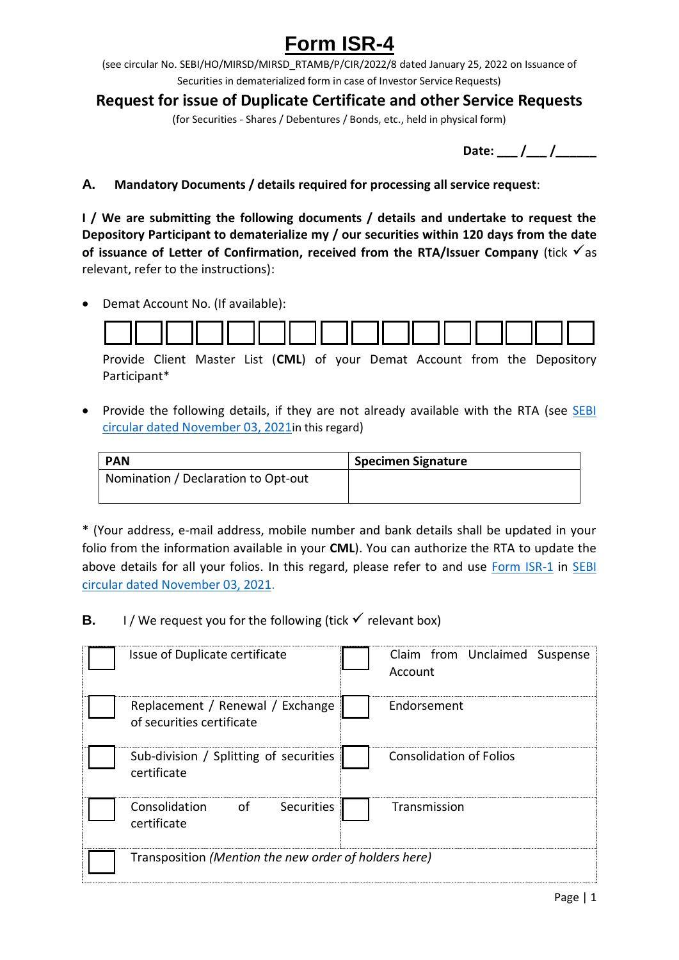## **Form ISR-4**

(see circular No. SEBI/HO/MIRSD/MIRSD\_RTAMB/P/CIR/2022/8 dated January 25, 2022 on Issuance of Securities in dematerialized form in case of Investor Service Requests)

## **Request for issue of Duplicate Certificate and other Service Requests**

(for Securities - Shares / Debentures / Bonds, etc., held in physical form)

**Date:** / /

**A. Mandatory Documents / details required for processing all service request**:

**I / We are submitting the following documents / details and undertake to request the Depository Participant to dematerialize my / our securities within 120 days from the date**  of **issuance of Letter of Confirmation, received from the RTA/Issuer Company** (tick  $\checkmark$  as relevant, refer to the instructions):

Demat Account No. (If available):



Provide Client Master List (**CML**) of your Demat Account from the Depository Participant\*

• Provide the following details, if they are not already available with the RTA (see SEBI [circular dated November 03, 2021](https://www.sebi.gov.in/legal/circulars/nov-2021/common-and-simplified-norms-for-processing-investor-s-service-request-by-rtas-and-norms-for-furnishing-pan-kyc-details-and-nomination_53787.html)in this regard)

| <b>PAN</b>                          | <b>Specimen Signature</b> |
|-------------------------------------|---------------------------|
| Nomination / Declaration to Opt-out |                           |
|                                     |                           |

\* (Your address, e-mail address, mobile number and bank details shall be updated in your folio from the information available in your **CML**). You can authorize the RTA to update the above details for all your folios. In this regard, please refer to and use [Form ISR-1](https://www.sebi.gov.in/sebi_data/commondocs/dec-2021/pdf%20Form%20ISR-1%20(1)_p.pdf) in SEBI [circular dated November 03, 2021.](https://www.sebi.gov.in/legal/circulars/nov-2021/common-and-simplified-norms-for-processing-investor-s-service-request-by-rtas-and-norms-for-furnishing-pan-kyc-details-and-nomination_53787.html)

**B.** I / We request you for the following (tick  $\checkmark$  relevant box)

| Issue of Duplicate certificate                                |  | Claim from Unclaimed Suspense<br>Account |
|---------------------------------------------------------------|--|------------------------------------------|
| Replacement / Renewal / Exchange<br>of securities certificate |  | Endorsement                              |
| Sub-division / Splitting of securities<br>certificate         |  | <b>Consolidation of Folios</b>           |
| of<br>Consolidation<br>Securities<br>certificate              |  | Transmission                             |
| Transposition (Mention the new order of holders here)         |  |                                          |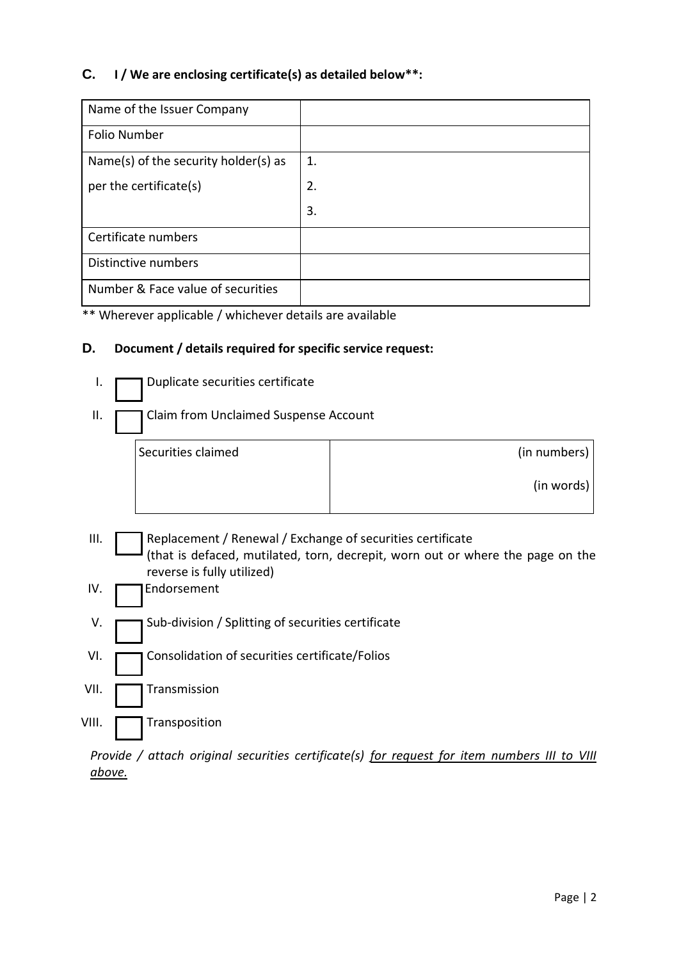## **C. I / We are enclosing certificate(s) as detailed below\*\*:**

| Name of the Issuer Company           |    |
|--------------------------------------|----|
| <b>Folio Number</b>                  |    |
| Name(s) of the security holder(s) as | 1. |
| per the certificate(s)               | 2. |
|                                      | 3. |
| Certificate numbers                  |    |
| Distinctive numbers                  |    |
| Number & Face value of securities    |    |

\*\* Wherever applicable / whichever details are available

## **D. Document / details required for specific service request:**

| ı.    | Duplicate securities certificate                                                                                                                                           |              |  |  |
|-------|----------------------------------------------------------------------------------------------------------------------------------------------------------------------------|--------------|--|--|
| Ш.    | Claim from Unclaimed Suspense Account                                                                                                                                      |              |  |  |
|       | Securities claimed                                                                                                                                                         | (in numbers) |  |  |
|       |                                                                                                                                                                            | (in words)   |  |  |
| III.  | Replacement / Renewal / Exchange of securities certificate<br>(that is defaced, mutilated, torn, decrepit, worn out or where the page on the<br>reverse is fully utilized) |              |  |  |
| IV.   | Endorsement                                                                                                                                                                |              |  |  |
| V.    | Sub-division / Splitting of securities certificate                                                                                                                         |              |  |  |
| VI.   | Consolidation of securities certificate/Folios                                                                                                                             |              |  |  |
| VII.  | Transmission                                                                                                                                                               |              |  |  |
| VIII. | Transposition                                                                                                                                                              |              |  |  |

*Provide / attach original securities certificate(s) for request for item numbers III to VIII above.*